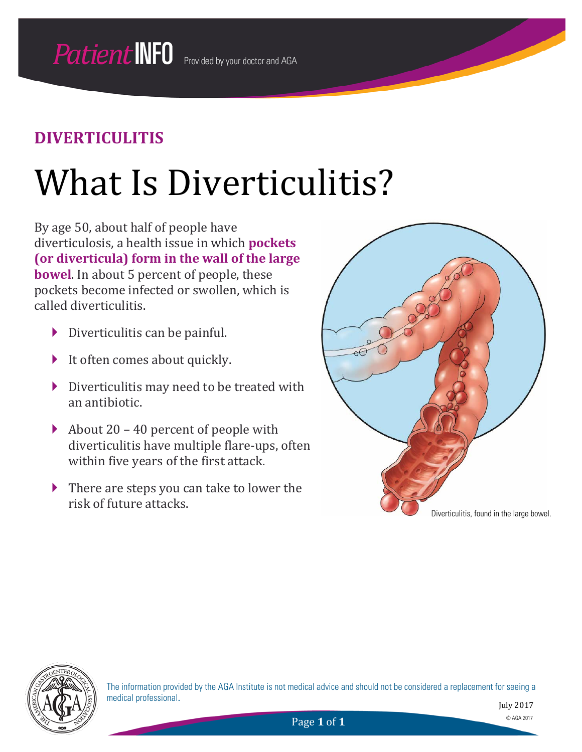# What Is Diverticulitis?

By age 50, about half of people have diverticulosis, a health issue in which **pockets (or diverticula) form in the wall of the large bowel**. In about 5 percent of people, these pockets become infected or swollen, which is called diverticulitis.

- $\triangleright$  Diverticulitis can be painful.
- $\blacktriangleright$  It often comes about quickly.
- Diverticulitis may need to be treated with an antibiotic.
- About 20 40 percent of people with diverticulitis have multiple flare-ups, often within five years of the first attack.
- ▶ There are steps you can take to lower the risk of future attacks.





The information provided by the AGA Institute is not medical advice and should not be considered a replacement for seeing a medical professional.

July 2017

Page **1** of **1** © AGA 2017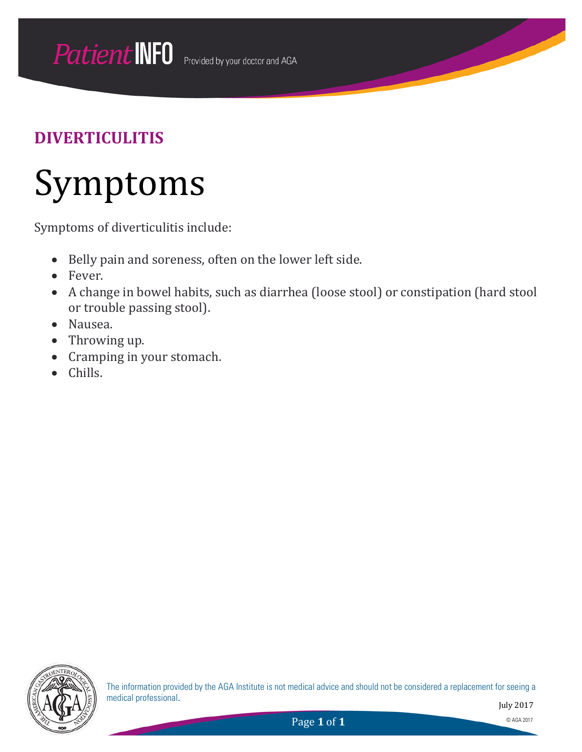## Symptoms

Symptoms of diverticulitis include:

- Belly pain and soreness, often on the lower left side.
- Fever.
- A change in bowel habits, such as diarrhea (loose stool) or constipation (hard stool or trouble passing stool).
- Nausea.
- Throwing up.
- Cramping in your stomach.
- Chills.



The information provided by the AGA Institute is not medical advice and should not be considered a replacement for seeing a medical professional.

July 2017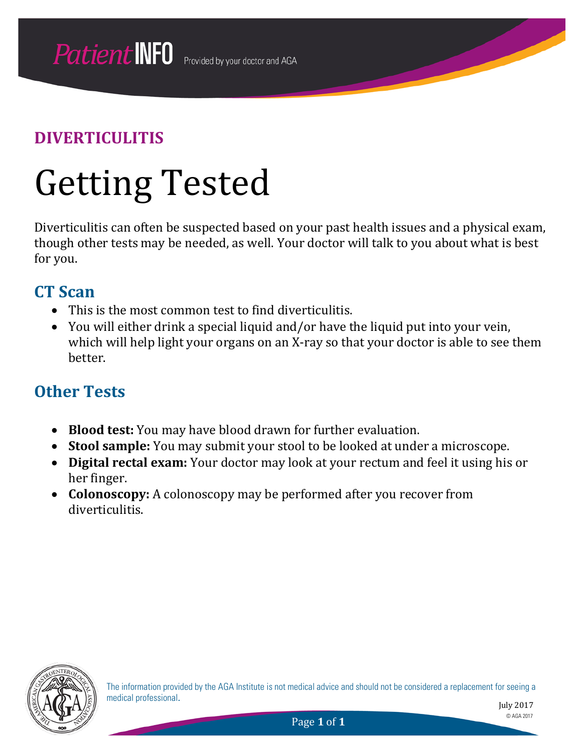# Getting Tested

Diverticulitis can often be suspected based on your past health issues and a physical exam, though other tests may be needed, as well. Your doctor will talk to you about what is best for you.

#### **CT Scan**

- This is the most common test to find diverticulitis.
- You will either drink a special liquid and/or have the liquid put into your vein, which will help light your organs on an X-ray so that your doctor is able to see them better.

### **Other Tests**

- **Blood test:** You may have blood drawn for further evaluation.
- **Stool sample:** You may submit your stool to be looked at under a microscope.
- **Digital rectal exam:** Your doctor may look at your rectum and feel it using his or her finger.
- **Colonoscopy:** A colonoscopy may be performed after you recover from diverticulitis.



The information provided by the AGA Institute is not medical advice and should not be considered a replacement for seeing a medical professional.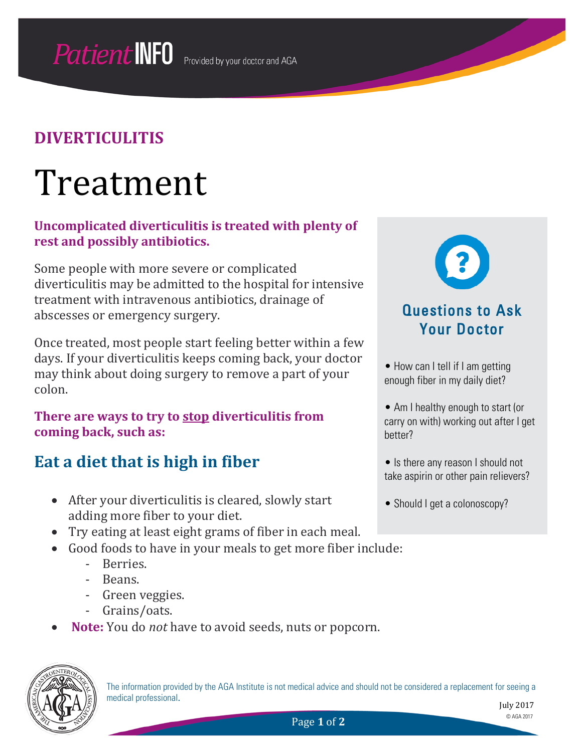## Treatment

#### **Uncomplicated diverticulitis is treated with plenty of rest and possibly antibiotics.**

Some people with more severe or complicated diverticulitis may be admitted to the hospital for intensive treatment with intravenous antibiotics, drainage of abscesses or emergency surgery.

Once treated, most people start feeling better within a few days. If your diverticulitis keeps coming back, your doctor may think about doing surgery to remove a part of your colon.

#### **There are ways to try to stop diverticulitis from coming back, such as:**

### **Eat a diet that is high in fiber**

- After your diverticulitis is cleared, slowly start adding more fiber to your diet.
- Try eating at least eight grams of fiber in each meal.
- Good foods to have in your meals to get more fiber include:
	- Berries.
	- Beans.
	- Green veggies.
	- Grains/oats.
- **Note:** You do *not* have to avoid seeds, nuts or popcorn.



The information provided by the AGA Institute is not medical advice and should not be considered a replacement for seeing a medical professional.



#### • How can I tell if I am getting enough fiber in my daily diet?

• Am I healthy enough to start (or carry on with) working out after I get better?

• Is there any reason I should not take aspirin or other pain relievers?

• Should I get a colonoscopy?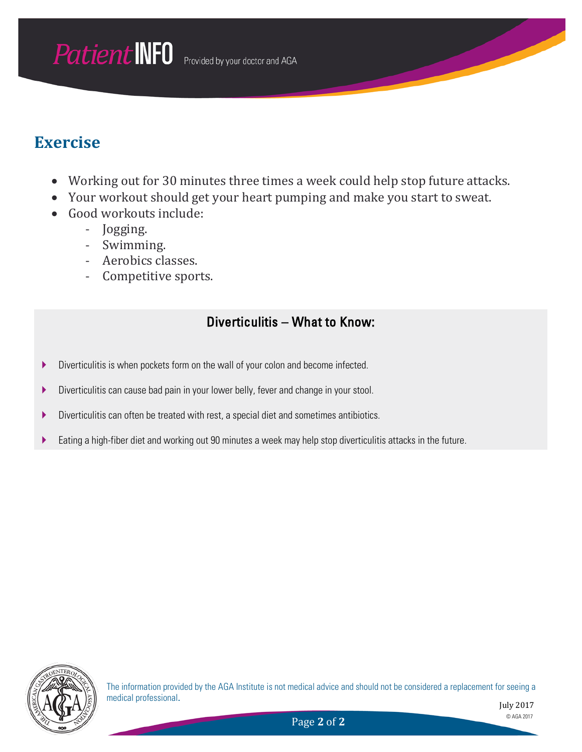### **Exercise**

- Working out for 30 minutes three times a week could help stop future attacks.
- Your workout should get your heart pumping and make you start to sweat.
- Good workouts include:
	- Jogging.
	- Swimming.
	- Aerobics classes.<br>- Competitive spor
	- Competitive sports.

#### Diverticulitis – What to Know:

- Diverticulitis is when pockets form on the wall of your colon and become infected.
- Diverticulitis can cause bad pain in your lower belly, fever and change in your stool.
- Diverticulitis can often be treated with rest, a special diet and sometimes antibiotics.
- Eating a high-fiber diet and working out 90 minutes a week may help stop diverticulitis attacks in the future.



The information provided by the AGA Institute is not medical advice and should not be considered a replacement for seeing a medical professional.

July 2017